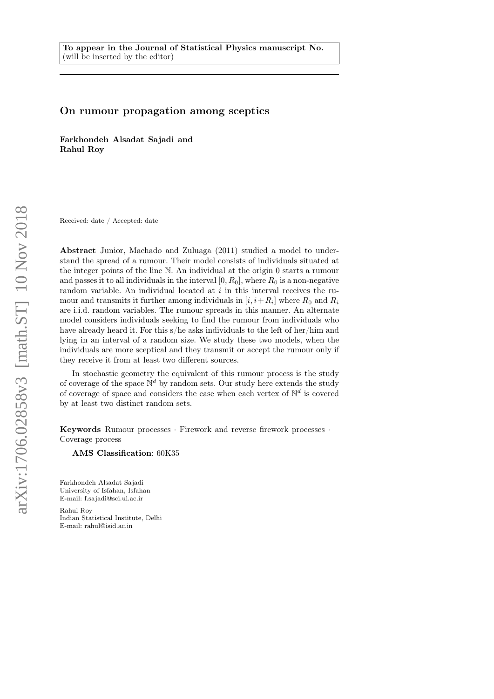# On rumour propagation among sceptics

Farkhondeh Alsadat Sajadi and Rahul Roy

Received: date / Accepted: date

Abstract Junior, Machado and Zuluaga (2011) studied a model to understand the spread of a rumour. Their model consists of individuals situated at the integer points of the line N. An individual at the origin 0 starts a rumour and passes it to all individuals in the interval  $[0, R_0]$ , where  $R_0$  is a non-negative random variable. An individual located at i in this interval receives the rumour and transmits it further among individuals in  $[i, i + R_i]$  where  $R_0$  and  $R_i$ are i.i.d. random variables. The rumour spreads in this manner. An alternate model considers individuals seeking to find the rumour from individuals who have already heard it. For this s/he asks individuals to the left of her/him and lying in an interval of a random size. We study these two models, when the individuals are more sceptical and they transmit or accept the rumour only if they receive it from at least two different sources.

In stochastic geometry the equivalent of this rumour process is the study of coverage of the space  $\mathbb{N}^d$  by random sets. Our study here extends the study of coverage of space and considers the case when each vertex of  $\mathbb{N}^d$  is covered by at least two distinct random sets.

Keywords Rumour processes · Firework and reverse firework processes · Coverage process

AMS Classification: 60K35

Farkhondeh Alsadat Sajadi University of Isfahan, Isfahan E-mail: f.sajadi@sci.ui.ac.ir

Rahul Roy Indian Statistical Institute, Delhi E-mail: rahul@isid.ac.in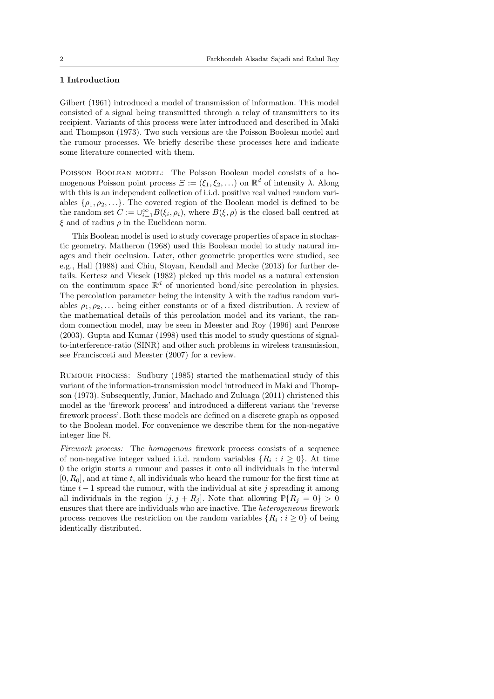## 1 Introduction

Gilbert (1961) introduced a model of transmission of information. This model consisted of a signal being transmitted through a relay of transmitters to its recipient. Variants of this process were later introduced and described in Maki and Thompson (1973). Two such versions are the Poisson Boolean model and the rumour processes. We briefly describe these processes here and indicate some literature connected with them.

Poisson Boolean model: The Poisson Boolean model consists of a homogenous Poisson point process  $\Xi := (\xi_1, \xi_2, \ldots)$  on  $\mathbb{R}^d$  of intensity  $\lambda$ . Along with this is an independent collection of i.i.d. positive real valued random variables  $\{\rho_1, \rho_2, \ldots\}$ . The covered region of the Boolean model is defined to be the random set  $C := \bigcup_{i=1}^{\infty} B(\xi_i, \rho_i)$ , where  $B(\xi, \rho)$  is the closed ball centred at  $\xi$  and of radius  $\rho$  in the Euclidean norm.

This Boolean model is used to study coverage properties of space in stochastic geometry. Matheron (1968) used this Boolean model to study natural images and their occlusion. Later, other geometric properties were studied, see e.g., Hall (1988) and Chiu, Stoyan, Kendall and Mecke (2013) for further details. Kertesz and Vicsek (1982) picked up this model as a natural extension on the continuum space  $\mathbb{R}^d$  of unoriented bond/site percolation in physics. The percolation parameter being the intensity  $\lambda$  with the radius random variables  $\rho_1, \rho_2, \ldots$  being either constants or of a fixed distribution. A review of the mathematical details of this percolation model and its variant, the random connection model, may be seen in Meester and Roy (1996) and Penrose (2003). Gupta and Kumar (1998) used this model to study questions of signalto-interference-ratio (SINR) and other such problems in wireless transmission, see Franciscceti and Meester (2007) for a review.

Rumour process: Sudbury (1985) started the mathematical study of this variant of the information-transmission model introduced in Maki and Thompson (1973). Subsequently, Junior, Machado and Zuluaga (2011) christened this model as the 'firework process' and introduced a different variant the 'reverse firework process'. Both these models are defined on a discrete graph as opposed to the Boolean model. For convenience we describe them for the non-negative integer line N.

Firework process: The homogenous firework process consists of a sequence of non-negative integer valued i.i.d. random variables  $\{R_i : i \geq 0\}$ . At time 0 the origin starts a rumour and passes it onto all individuals in the interval  $[0, R_0]$ , and at time t, all individuals who heard the rumour for the first time at time  $t-1$  spread the rumour, with the individual at site j spreading it among all individuals in the region  $[j, j + R_j]$ . Note that allowing  $\mathbb{P}{R_i = 0} > 0$ ensures that there are individuals who are inactive. The heterogeneous firework process removes the restriction on the random variables  $\{R_i : i \geq 0\}$  of being identically distributed.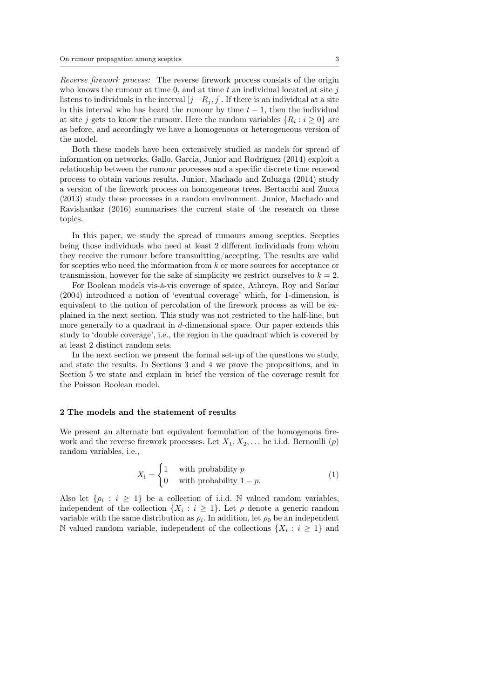Reverse firework process: The reverse firework process consists of the origin who knows the rumour at time 0, and at time  $t$  an individual located at site  $j$ listens to individuals in the interval  $[j-R_j, j]$ . If there is an individual at a site in this interval who has heard the rumour by time  $t - 1$ , then the individual at site j gets to know the rumour. Here the random variables  $\{R_i : i \geq 0\}$  are as before, and accordingly we have a homogenous or heterogeneous version of the model.

Both these models have been extensively studied as models for spread of information on networks. Gallo, Garcia, Junior and Rodríguez (2014) exploit a relationship between the rumour processes and a specific discrete time renewal process to obtain various results. Junior, Machado and Zuluaga (2014) study a version of the firework process on homogeneous trees. Bertacchi and Zucca (2013) study these processes in a random environment. Junior, Machado and Ravishankar (2016) summarises the current state of the research on these topics.

In this paper, we study the spread of rumours among sceptics. Sceptics being those individuals who need at least 2 different individuals from whom they receive the rumour before transmitting/accepting. The results are valid for sceptics who need the information from k or more sources for acceptance or transmission, however for the sake of simplicity we restrict ourselves to  $k = 2$ .

For Boolean models vis-à-vis coverage of space, Athreya, Roy and Sarkar (2004) introduced a notion of 'eventual coverage' which, for 1-dimension, is equivalent to the notion of percolation of the firework process as will be explained in the next section. This study was not restricted to the half-line, but more generally to a quadrant in  $d$ -dimensional space. Our paper extends this study to 'double coverage', i.e., the region in the quadrant which is covered by at least 2 distinct random sets.

In the next section we present the formal set-up of the questions we study, and state the results. In Sections 3 and 4 we prove the propositions, and in Section 5 we state and explain in brief the version of the coverage result for the Poisson Boolean model.

## 2 The models and the statement of results

We present an alternate but equivalent formulation of the homogenous firework and the reverse firework processes. Let  $X_1, X_2, \ldots$  be i.i.d. Bernoulli  $(p)$ random variables, i.e.,

$$
X_{\mathbf{i}} = \begin{cases} 1 & \text{with probability } p \\ 0 & \text{with probability } 1 - p. \end{cases} \tag{1}
$$

Also let  $\{\rho_i : i \geq 1\}$  be a collection of i.i.d. N valued random variables, independent of the collection  $\{X_i : i \geq 1\}$ . Let  $\rho$  denote a generic random variable with the same distribution as  $\rho_i$ . In addition, let  $\rho_0$  be an independent N valued random variable, independent of the collections  $\{X_i : i \geq 1\}$  and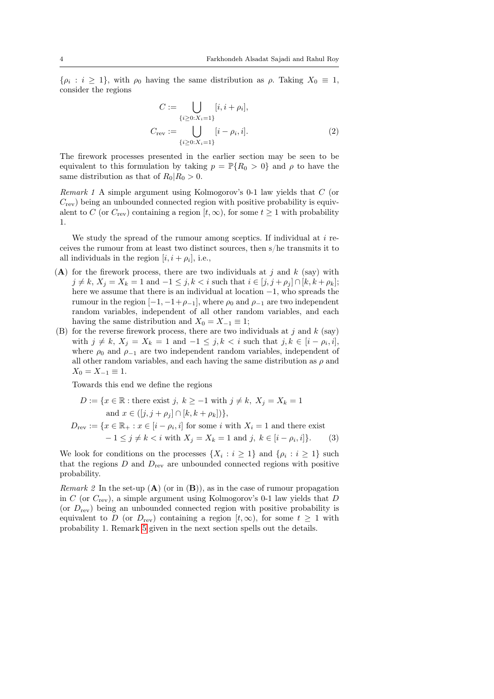$\{\rho_i : i \geq 1\}$ , with  $\rho_0$  having the same distribution as  $\rho$ . Taking  $X_0 \equiv 1$ , consider the regions

<span id="page-3-1"></span>
$$
C := \bigcup_{\{i \ge 0: X_i = 1\}} [i, i + \rho_i],
$$
  
\n
$$
C_{\text{rev}} := \bigcup_{\{i \ge 0: X_i = 1\}} [i - \rho_i, i].
$$
\n(2)

The firework processes presented in the earlier section may be seen to be equivalent to this formulation by taking  $p = \mathbb{P}{R_0 > 0}$  and  $\rho$  to have the same distribution as that of  $R_0|R_0 > 0$ .

<span id="page-3-0"></span>Remark 1 A simple argument using Kolmogorov's 0-1 law yields that C (or  $C_{\text{rev}}$ ) being an unbounded connected region with positive probability is equivalent to C (or  $C_{\text{rev}}$ ) containing a region  $[t, \infty)$ , for some  $t \ge 1$  with probability 1.

We study the spread of the rumour among sceptics. If individual at  $i$  receives the rumour from at least two distinct sources, then s/he transmits it to all individuals in the region  $[i, i + \rho_i]$ , i.e.,

- (A) for the firework process, there are two individuals at j and k (say) with  $j \neq k, X_j = X_k = 1$  and  $-1 \leq j, k < i$  such that  $i \in [j, j + \rho_j] \cap [k, k + \rho_k]$ ; here we assume that there is an individual at location −1, who spreads the rumour in the region  $[-1, -1+\rho_{-1}]$ , where  $\rho_0$  and  $\rho_{-1}$  are two independent random variables, independent of all other random variables, and each having the same distribution and  $X_0 = X_{-1} \equiv 1$ ;
- (B) for the reverse firework process, there are two individuals at j and k (say) with  $j \neq k$ ,  $X_j = X_k = 1$  and  $-1 \leq j, k < i$  such that  $j, k \in [i - \rho_i, i],$ where  $\rho_0$  and  $\rho_{-1}$  are two independent random variables, independent of all other random variables, and each having the same distribution as  $\rho$  and  $X_0 = X_{-1} \equiv 1.$

<span id="page-3-2"></span>Towards this end we define the regions

$$
D := \{x \in \mathbb{R} : \text{there exist } j, k \ge -1 \text{ with } j \ne k, X_j = X_k = 1
$$
  
and  $x \in ([j, j + \rho_j] \cap [k, k + \rho_k])\},$   

$$
D_{\text{rev}} := \{x \in \mathbb{R}_+ : x \in [i - \rho_i, i] \text{ for some } i \text{ with } X_i = 1 \text{ and there exist}
$$

$$
-1 \le j \ne k < i \text{ with } X_j = X_k = 1 \text{ and } j, k \in [i - \rho_i, i]\}.
$$
 (3)

<span id="page-3-3"></span>We look for conditions on the processes  $\{X_i : i \geq 1\}$  and  $\{\rho_i : i \geq 1\}$  such that the regions  $D$  and  $D_{\text{rev}}$  are unbounded connected regions with positive probability.

*Remark 2* In the set-up  $(A)$  (or in  $(B)$ ), as in the case of rumour propagation in C (or  $C_{\text{rev}}$ ), a simple argument using Kolmogorov's 0-1 law yields that D (or  $D_{\text{rev}}$ ) being an unbounded connected region with positive probability is equivalent to D (or  $D_{\text{rev}}$ ) containing a region  $[t,\infty)$ , for some  $t \geq 1$  with probability 1. Remark [5](#page-8-0) given in the next section spells out the details.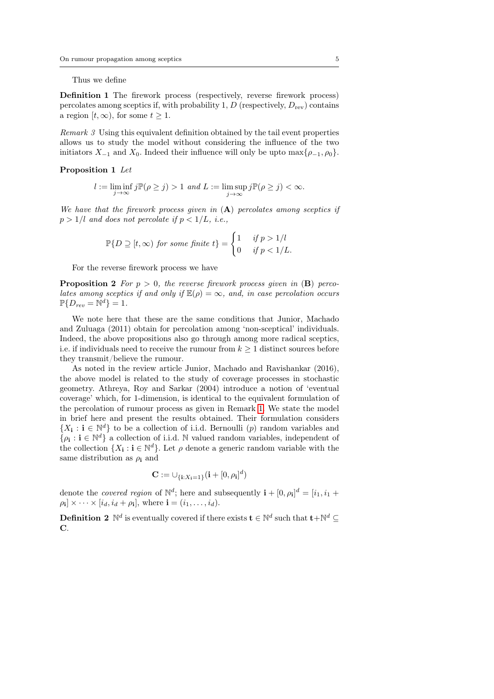Thus we define

Definition 1 The firework process (respectively, reverse firework process) percolates among sceptics if, with probability 1,  $D$  (respectively,  $D_{\text{rev}}$ ) contains a region  $[t, \infty)$ , for some  $t \geq 1$ .

<span id="page-4-2"></span>Remark 3 Using this equivalent definition obtained by the tail event properties allows us to study the model without considering the influence of the two initiators  $X_{-1}$  and  $X_0$ . Indeed their influence will only be upto max $\{\rho_{-1}, \rho_0\}$ .

<span id="page-4-0"></span>Proposition 1 Let

$$
l:=\liminf_{j\to\infty}j\mathbb{P}(\rho\geq j)>1\ and\ L:=\limsup_{j\to\infty}j\mathbb{P}(\rho\geq j)<\infty.
$$

We have that the firework process given in  $(A)$  percolates among sceptics if  $p > 1/l$  and does not percolate if  $p < 1/L$ , i.e.,

<span id="page-4-1"></span>
$$
\mathbb{P}\{D \supseteq [t,\infty) \text{ for some finite } t\} = \begin{cases} 1 & \text{if } p > 1/l \\ 0 & \text{if } p < 1/L. \end{cases}
$$

For the reverse firework process we have

**Proposition 2** For  $p > 0$ , the reverse firework process given in  $(B)$  percolates among sceptics if and only if  $\mathbb{E}(\rho) = \infty$ , and, in case percolation occurs  $\mathbb{P}\{D_{rev}=\mathbb{N}^d\}=1.$ 

We note here that these are the same conditions that Junior, Machado and Zuluaga (2011) obtain for percolation among 'non-sceptical' individuals. Indeed, the above propositions also go through among more radical sceptics, i.e. if individuals need to receive the rumour from  $k \geq 1$  distinct sources before they transmit/believe the rumour.

As noted in the review article Junior, Machado and Ravishankar (2016), the above model is related to the study of coverage processes in stochastic geometry. Athreya, Roy and Sarkar (2004) introduce a notion of 'eventual coverage' which, for 1-dimension, is identical to the equivalent formulation of the percolation of rumour process as given in Remark [1.](#page-3-0) We state the model in brief here and present the results obtained. Their formulation considers  $\{X_i : i \in \mathbb{N}^d\}$  to be a collection of i.i.d. Bernoulli (p) random variables and  $\{\rho_i : i \in \mathbb{N}^d\}$  a collection of i.i.d. N valued random variables, independent of the collection  $\{X_i : i \in \mathbb{N}^d\}$ . Let  $\rho$  denote a generic random variable with the same distribution as  $\rho_i$  and

$$
\mathbf{C} := \cup_{\{\mathbf{i}: X_\mathbf{i} = 1\}} (\mathbf{i} + [0, \rho_\mathbf{i}]^d)
$$

denote the *covered region* of  $\mathbb{N}^d$ ; here and subsequently  $\mathbf{i} + [0, \rho_i]^d = [i_1, i_1 +$  $\rho_{\mathbf{i}} \times \cdots \times [i_d, i_d + \rho_{\mathbf{i}}],$  where  $\mathbf{i} = (i_1, \ldots, i_d).$ 

**Definition 2**  $\mathbb{N}^d$  is eventually covered if there exists  $\mathbf{t} \in \mathbb{N}^d$  such that  $\mathbf{t} + \mathbb{N}^d \subseteq$ C.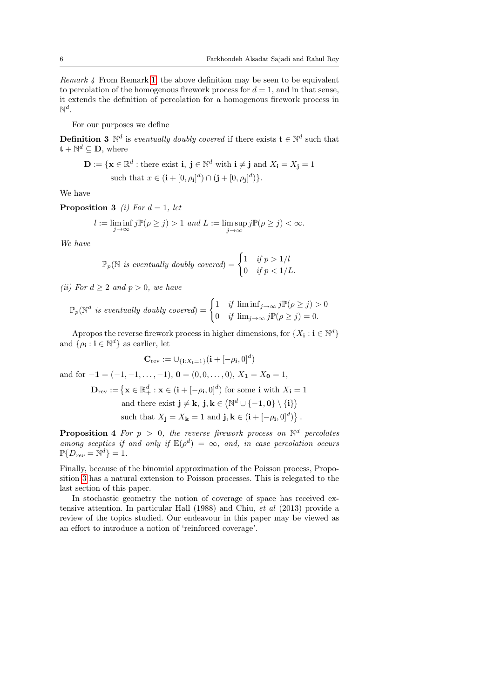Remark 4 From Remark [1,](#page-3-0) the above definition may be seen to be equivalent to percolation of the homogenous firework process for  $d = 1$ , and in that sense, it extends the definition of percolation for a homogenous firework process in  $\mathbb{N}^d$ .

For our purposes we define

**Definition 3**  $\mathbb{N}^d$  is eventually doubly covered if there exists  $\mathbf{t} \in \mathbb{N}^d$  such that  $\mathbf{t} + \mathbb{N}^d \subseteq \mathbf{D}$ , where

<span id="page-5-0"></span>
$$
\mathbf{D} := \{ \mathbf{x} \in \mathbb{R}^d : \text{there exist } \mathbf{i}, \ \mathbf{j} \in \mathbb{N}^d \text{ with } \mathbf{i} \neq \mathbf{j} \text{ and } X_{\mathbf{i}} = X_{\mathbf{j}} = 1 \text{ such that } x \in (\mathbf{i} + [0, \rho_{\mathbf{i}}]^d) \cap (\mathbf{j} + [0, \rho_{\mathbf{j}}]^d) \}.
$$

We have

**Proposition 3** (i) For  $d = 1$ , let

$$
l:=\liminf_{j\to\infty}j\mathbb{P}(\rho\geq j)>1\ and\ L:=\limsup_{j\to\infty}j\mathbb{P}(\rho\geq j)<\infty.
$$

We have

$$
\mathbb{P}_p(\mathbb{N} \text{ is eventually doubly covered}) = \begin{cases} 1 & \text{if } p > 1/l \\ 0 & \text{if } p < 1/L. \end{cases}
$$

(ii) For  $d \geq 2$  and  $p > 0$ , we have

$$
\mathbb{P}_p(\mathbb{N}^d \text{ is eventually doubly covered}) = \begin{cases} 1 & \text{if } \liminf_{j \to \infty} j \mathbb{P}(\rho \ge j) > 0 \\ 0 & \text{if } \lim_{j \to \infty} j \mathbb{P}(\rho \ge j) = 0. \end{cases}
$$

Apropos the reverse firework process in higher dimensions, for  $\{X_i : i \in \mathbb{N}^d\}$ and  $\{\rho_{\mathbf{i}} : \mathbf{i} \in \mathbb{N}^d\}$  as earlier, let

$$
\mathbf{C}_{\text{rev}} := \cup_{\{\mathbf{i}: X_{\mathbf{i}} = 1\}} (\mathbf{i} + [-\rho_{\mathbf{i}}, 0]^d)
$$

and for  $-\mathbf{1} = (-1, -1, \dots, -1)$ ,  $\mathbf{0} = (0, 0, \dots, 0)$ ,  $X_{\mathbf{1}} = X_{\mathbf{0}} = 1$ ,

 $\mathbf{D}_{\text{rev}} := \left\{ \mathbf{x} \in \mathbb{R}_+^d : \mathbf{x} \in (\mathbf{i} + [-\rho_{\mathbf{i}}, 0]^d) \text{ for some } \mathbf{i} \text{ with } X_{\mathbf{i}} = 1 \right\}$ 

and there exist  $\mathbf{j} \neq \mathbf{k}$ ,  $\mathbf{j}, \mathbf{k} \in (\mathbb{N}^d \cup \{-1, 0\} \setminus \{\mathbf{i}\})$ such that  $X_{\mathbf{j}} = X_{\mathbf{k}} = 1$  and  $\mathbf{j}, \mathbf{k} \in (\mathbf{i} + [-\rho_{\mathbf{i}}, 0]^d)$ .

<span id="page-5-1"></span>**Proposition 4** For  $p > 0$ , the reverse firework process on  $\mathbb{N}^d$  percolates among sceptics if and only if  $\mathbb{E}(\rho^d) = \infty$ , and, in case percolation occurs  $\mathbb{P}\{D_{rev}=\mathbb{N}^d\}=1.$ 

Finally, because of the binomial approximation of the Poisson process, Proposition [3](#page-5-0) has a natural extension to Poisson processes. This is relegated to the last section of this paper.

In stochastic geometry the notion of coverage of space has received extensive attention. In particular Hall (1988) and Chiu, et al (2013) provide a review of the topics studied. Our endeavour in this paper may be viewed as an effort to introduce a notion of 'reinforced coverage'.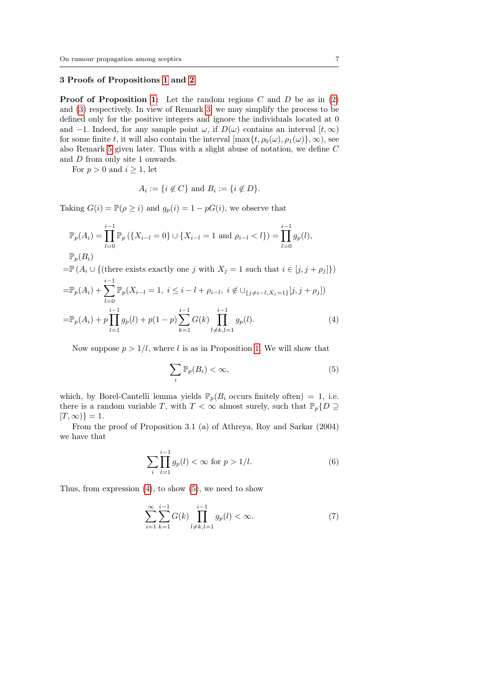#### 3 Proofs of Propositions [1](#page-4-0) and [2](#page-4-1)

**Proof of Proposition [1:](#page-4-0)** Let the random regions  $C$  and  $D$  be as in [\(2\)](#page-3-1) and [\(3\)](#page-3-2) respectively. In view of Remark [3,](#page-4-2) we may simplify the process to be defined only for the positive integers and ignore the individuals located at 0 and −1. Indeed, for any sample point  $\omega$ , if  $D(\omega)$  contains an interval  $[t, \infty)$ for some finite t, it will also contain the interval  $[\max\{t, \rho_0(\omega), \rho_1(\omega)\}, \infty)$ , see also Remark [5](#page-8-0) given later. Thus with a slight abuse of notation, we define C and D from only site 1 onwards.

For  $p > 0$  and  $i > 1$ , let

$$
A_i := \{ i \notin C \} \text{ and } B_i := \{ i \notin D \}.
$$

Taking  $G(i) = \mathbb{P}(\rho \geq i)$  and  $g_p(i) = 1 - pG(i)$ , we observe that

$$
\mathbb{P}_p(A_i) = \prod_{l=0}^{i-1} \mathbb{P}_p(\{X_{i-l} = 0\} \cup \{X_{i-l} = 1 \text{ and } \rho_{i-l} < l\}) = \prod_{l=0}^{i-1} g_p(l),
$$
\n
$$
\mathbb{P}_p(B_i)
$$

$$
\begin{aligned}\n&= \mathbb{P}\left(A_i \cup \{(\text{there exists exactly one } j \text{ with } X_j = 1 \text{ such that } i \in [j, j + \rho_j]\}\right) \\
&= \mathbb{P}_p(A_i) + \sum_{l=0}^{i-1} \mathbb{P}_p(X_{i-l} = 1, i \leq i-l + \rho_{i-l}, i \notin \bigcup_{\{j \neq i-l, X_j = 1\}} [j, j + \rho_j]) \\
&= \mathbb{P}_p(A_i) + p \prod_{i=1}^{i-1} q_n(l) + p(1-p) \sum_{l=0}^{i-1} G(k) \prod_{l=0}^{i-1} q_n(l).\n\end{aligned}
$$
\n(4)

$$
= \mathbb{P}_p(A_i) + p \prod_{l=1} g_p(l) + p(1-p) \sum_{k=1} G(k) \prod_{l \neq k, l=1} g_p(l). \tag{4}
$$

Now suppose  $p > 1/l$ , where l is as in Proposition [1.](#page-4-0) We will show that

<span id="page-6-2"></span><span id="page-6-1"></span><span id="page-6-0"></span>
$$
\sum_{i} \mathbb{P}_{p}(B_{i}) < \infty,\tag{5}
$$

which, by Borel-Cantelli lemma yields  $\mathbb{P}_p(B_i \text{ occurs finitely often}) = 1$ , i.e. there is a random variable T, with  $T < \infty$  almost surely, such that  $\mathbb{P}_p\{D \supseteq \emptyset\}$  $[T, \infty)\} = 1.$ 

From the proof of Proposition 3.1 (a) of Athreya, Roy and Sarkar (2004) we have that

$$
\sum_{i} \prod_{l=1}^{i-1} g_p(l) < \infty \text{ for } p > 1/l. \tag{6}
$$

Thus, from expression  $(4)$ , to show  $(5)$ , we need to show

<span id="page-6-3"></span>
$$
\sum_{i=1}^{\infty} \sum_{k=1}^{i-1} G(k) \prod_{l \neq k, l=1}^{i-1} g_p(l) < \infty. \tag{7}
$$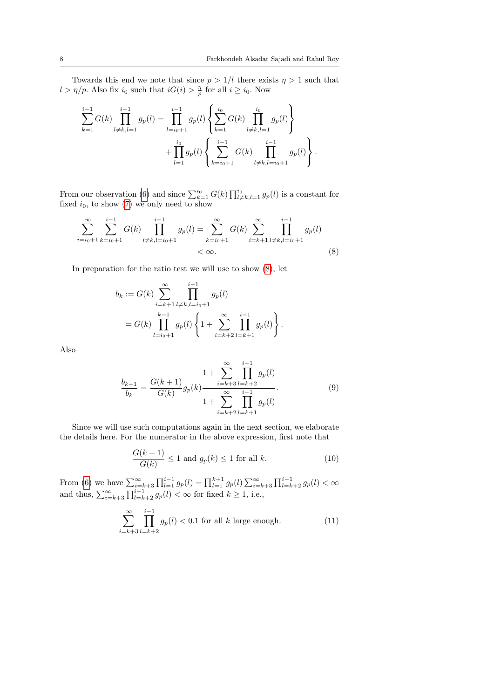Towards this end we note that since  $p > 1/l$  there exists  $\eta > 1$  such that  $l > \eta/p$ . Also fix  $i_0$  such that  $iG(i) > \frac{\eta}{p}$  for all  $i \geq i_0$ . Now

$$
\sum_{k=1}^{i-1} G(k) \prod_{l \neq k, l=1}^{i-1} g_p(l) = \prod_{l=i_0+1}^{i-1} g_p(l) \left\{ \sum_{k=1}^{i_0} G(k) \prod_{l \neq k, l=1}^{i_0} g_p(l) \right\} + \prod_{l=1}^{i_0} g_p(l) \left\{ \sum_{k=i_0+1}^{i-1} G(k) \prod_{l \neq k, l=i_0+1}^{i-1} g_p(l) \right\}.
$$

From our observation [\(6\)](#page-6-2) and since  $\sum_{k=1}^{i_0} G(k) \prod_{l \neq k, l=1}^{i_0} g_p(l)$  is a constant for fixed  $i_0$ , to show  $(7)$  we only need to show

$$
\sum_{i=i_0+1}^{\infty} \sum_{k=i_0+1}^{i-1} G(k) \prod_{l \neq k, l=i_0+1}^{i-1} g_p(l) = \sum_{k=i_0+1}^{\infty} G(k) \sum_{i=k+1}^{\infty} \prod_{l \neq k, l=i_0+1}^{i-1} g_p(l)
$$
  
<  $\infty$ . (8)

In preparation for the ratio test we will use to show [\(8\)](#page-7-0), let

<span id="page-7-0"></span>
$$
b_k := G(k) \sum_{i=k+1}^{\infty} \prod_{l \neq k, l = i_0+1}^{i-1} g_p(l)
$$
  
=  $G(k) \prod_{l=i_0+1}^{k-1} g_p(l) \left\{ 1 + \sum_{i=k+2}^{\infty} \prod_{l=k+1}^{i-1} g_p(l) \right\}.$ 

Also

$$
\frac{b_{k+1}}{b_k} = \frac{G(k+1)}{G(k)} g_p(k) \frac{1 + \sum_{i=k+3}^{\infty} \prod_{l=k+2}^{i-1} g_p(l)}{1 + \sum_{i=k+2}^{\infty} \prod_{l=k+1}^{i-1} g_p(l)}.
$$
(9)

Since we will use such computations again in the next section, we elaborate the details here. For the numerator in the above expression, first note that

$$
\frac{G(k+1)}{G(k)} \le 1 \text{ and } g_p(k) \le 1 \text{ for all } k. \tag{10}
$$

From [\(6\)](#page-6-2) we have  $\sum_{i=k+3}^{\infty} \prod_{l=1}^{i-1} g_p(l) = \prod_{l=1}^{k+1} g_p(l) \sum_{i=k+3}^{\infty} \prod_{l=k+2}^{i-1} g_p(l) < \infty$ and thus,  $\sum_{i=k+3}^{\infty} \prod_{l=k+2}^{i-1} g_p(l) < \infty$  for fixed  $k \ge 1$ , i.e.,

$$
\sum_{i=k+3}^{\infty} \prod_{l=k+2}^{i-1} g_p(l) < 0.1 \text{ for all } k \text{ large enough.} \tag{11}
$$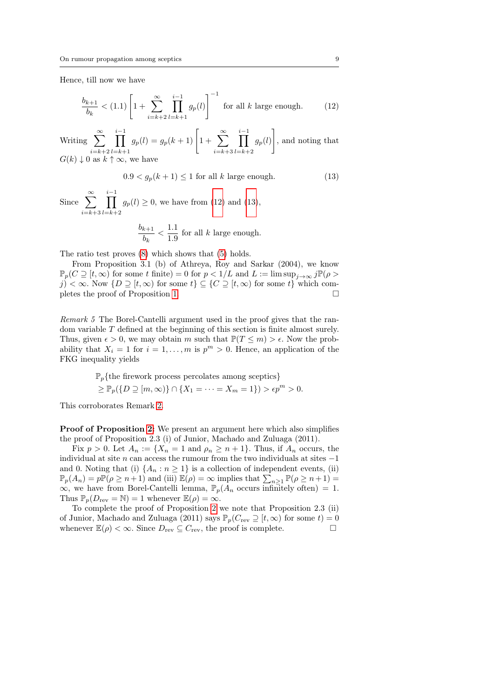Hence, till now we have

$$
\frac{b_{k+1}}{b_k} < (1.1) \left[ 1 + \sum_{i=k+2}^{\infty} \prod_{l=k+1}^{i-1} g_p(l) \right]^{-1} \text{ for all } k \text{ large enough.} \tag{12}
$$

Writing  $\sum_{n=1}^{\infty}$  $i=k+2$ i−1<br>∏  $_{l=k+1}$  $g_p(l) = g_p(k+1) \left[ 1 + \sum_{k=1}^{\infty} \right]$  $\scriptstyle i=k+3$ i−1<br>∏  $l = k + 2$  $g_p(l)$ 1 , and noting that  $G(k) \downarrow 0$  as  $k \uparrow \infty$ , we have

<span id="page-8-2"></span><span id="page-8-1"></span>
$$
0.9 < g_p(k+1) \le 1 \text{ for all } k \text{ large enough.} \tag{13}
$$

Since  $\sum_{n=1}^{\infty}$  $\scriptstyle i=k+3$  $\prod^{i-1}$  $_{l=k+2}$  $g_p(l) \geq 0$ , we have from [\(12\)](#page-8-1) and [\(13\)](#page-8-2),

$$
\frac{b_{k+1}}{b_k} < \frac{1.1}{1.9} \text{ for all } k \text{ large enough.}
$$

The ratio test proves [\(8\)](#page-7-0) which shows that [\(5\)](#page-6-1) holds.

From Proposition 3.1 (b) of Athreya, Roy and Sarkar (2004), we know  $\mathbb{P}_p(C \supseteq [t,\infty)$  for some t finite) = 0 for  $p < 1/L$  and  $L := \limsup_{j \to \infty} j \mathbb{P}(\rho >$ j) < ∞. Now  $\{D \supseteq [t, \infty) \text{ for some } t\}$   $\subseteq \{C \supseteq [t, \infty) \text{ for some } t\}$  which com-pletes the proof of Proposition [1.](#page-4-0)  $\Box$ 

<span id="page-8-0"></span>Remark 5 The Borel-Cantelli argument used in the proof gives that the random variable T defined at the beginning of this section is finite almost surely. Thus, given  $\epsilon > 0$ , we may obtain m such that  $\mathbb{P}(T \leq m) > \epsilon$ . Now the probability that  $X_i = 1$  for  $i = 1, ..., m$  is  $p^m > 0$ . Hence, an application of the FKG inequality yields

$$
\mathbb{P}_p\{\text{the \text{firework process }percolates among \text{}{}}\}
$$
  

$$
\geq \mathbb{P}_p(\{D \supseteq [m,\infty)\} \cap \{X_1 = \cdots = X_m = 1\}) > \epsilon p^m > 0.
$$

This corroborates Remark [2.](#page-3-3)

Proof of Proposition [2:](#page-4-1) We present an argument here which also simplifies the proof of Proposition 2.3 (i) of Junior, Machado and Zuluaga (2011).

Fix  $p > 0$ . Let  $A_n := \{X_n = 1 \text{ and } \rho_n \geq n+1\}$ . Thus, if  $A_n$  occurs, the individual at site  $n$  can access the rumour from the two individuals at sites  $-1$ and 0. Noting that (i)  $\{A_n : n \geq 1\}$  is a collection of independent events, (ii)  $\mathbb{P}_p(A_n) = p \mathbb{P}(\rho \ge n+1)$  and (iii)  $\mathbb{E}(\rho) = \infty$  implies that  $\sum_{n \ge 1} \mathbb{P}(\rho \ge n+1) =$ ∞, we have from Borel-Cantelli lemma,  $\mathbb{P}_p(A_n)$  occurs infinitely often) = 1. Thus  $\mathbb{P}_p(D_{\text{rev}} = \mathbb{N}) = 1$  whenever  $\mathbb{E}(\rho) = \infty$ .

To complete the proof of Proposition [2](#page-4-1) we note that Proposition 2.3 (ii) of Junior, Machado and Zuluaga (2011) says  $\mathbb{P}_p(C_{\text{rev}} \supseteq [t,\infty)$  for some  $t) = 0$ whenever  $\mathbb{E}(\rho) < \infty$ . Since  $D_{\text{rev}} \subseteq C_{\text{rev}}$ , the proof is complete.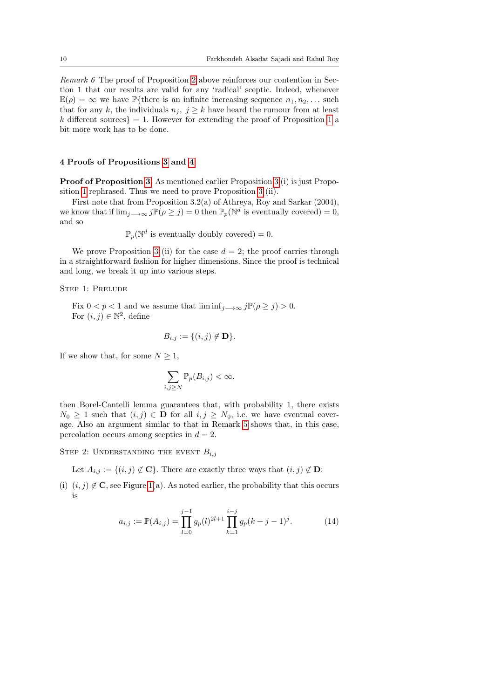Remark 6 The proof of Proposition [2](#page-4-1) above reinforces our contention in Section 1 that our results are valid for any 'radical' sceptic. Indeed, whenever  $\mathbb{E}(\rho) = \infty$  we have P{there is an infinite increasing sequence  $n_1, n_2, \ldots$  such that for any k, the individuals  $n_j, j \geq k$  have heard the rumour from at least k different sources} = [1](#page-4-0). However for extending the proof of Proposition 1 a bit more work has to be done.

### 4 Proofs of Propositions [3](#page-5-0) and [4](#page-5-1)

Proof of Proposition [3:](#page-5-0) As mentioned earlier Proposition [3](#page-5-0) (i) is just Proposition [1](#page-4-0) rephrased. Thus we need to prove Proposition [3](#page-5-0) (ii).

First note that from Proposition 3.2(a) of Athreya, Roy and Sarkar (2004), we know that if  $\lim_{j\to\infty} j\mathbb{P}(\rho \geq j) = 0$  then  $\mathbb{P}_p(\mathbb{N}^d)$  is eventually covered) = 0, and so

$$
\mathbb{P}_p(\mathbb{N}^d \text{ is eventually doubly covered}) = 0.
$$

We prove Proposition [3](#page-5-0) (ii) for the case  $d = 2$ ; the proof carries through in a straightforward fashion for higher dimensions. Since the proof is technical and long, we break it up into various steps.

STEP 1: PRELUDE

Fix  $0 < p < 1$  and we assume that  $\liminf_{j \to \infty} j \mathbb{P}(\rho \geq j) > 0$ . For  $(i, j) \in \mathbb{N}^2$ , define

$$
B_{i,j} := \{(i,j) \notin \mathbf{D}\}.
$$

If we show that, for some  $N \geq 1$ ,

$$
\sum_{i,j\geq N}\mathbb{P}_p(B_{i,j})<\infty,
$$

then Borel-Cantelli lemma guarantees that, with probability 1, there exists  $N_0 \geq 1$  such that  $(i, j) \in \mathbf{D}$  for all  $i, j \geq N_0$ , i.e. we have eventual coverage. Also an argument similar to that in Remark [5](#page-8-0) shows that, in this case, percolation occurs among sceptics in  $d = 2$ .

STEP 2: UNDERSTANDING THE EVENT  $B_{i,j}$ 

Let  $A_{i,j} := \{(i,j) \notin \mathbf{C}\}\.$  There are exactly three ways that  $(i,j) \notin \mathbf{D}$ :

(i)  $(i, j) \notin \mathbf{C}$ , see Figure [1\(](#page-10-0)a). As noted earlier, the probability that this occurs is

<span id="page-9-0"></span>
$$
a_{i,j} := \mathbb{P}(A_{i,j}) = \prod_{l=0}^{j-1} g_p(l)^{2l+1} \prod_{k=1}^{i-j} g_p(k+j-1)^j.
$$
 (14)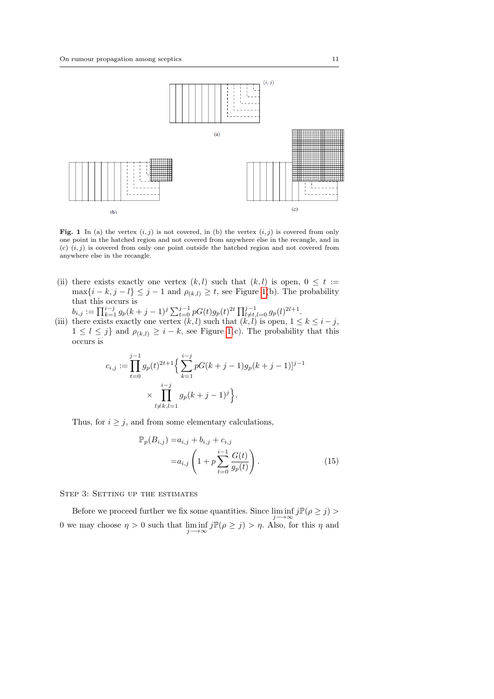

<span id="page-10-0"></span>Fig. 1 In (a) the vertex  $(i, j)$  is not covered, in (b) the vertex  $(i, j)$  is covered from only one point in the hatched region and not covered from anywhere else in the recangle, and in (c)  $(i, j)$  is covered from only one point outside the hatched region and not covered from anywhere else in the recangle.

- (ii) there exists exactly one vertex  $(k, l)$  such that  $(k, l)$  is open,  $0 \leq t :=$  $\max\{i-k, j-l\} \leq j-1$  and  $\rho_{(k,l)} \geq t$ , see Figure [1\(](#page-10-0)b). The probability that this occurs is
- $b_{i,j} := \prod_{k=1}^{i-j} g_p(k+j-1)^j \sum_{t=0}^{j-1} pG(t)g_p(t)^{2t} \prod_{l \neq t, l=0}^{j-1} g_p(l)^{2l+1}.$ (iii) there exists exactly one vertex  $(k, l)$  such that  $(k, l)$  is open,  $1 \leq k \leq i - j$ ,  $1 \leq l \leq j$  and  $\rho_{(k,l)} \geq i - k$ , see Figure [1\(](#page-10-0)c). The probability that this occurs is

$$
c_{i,j} := \prod_{t=0}^{j-1} g_p(t)^{2t+1} \Big\{ \sum_{k=1}^{i-j} pG(k+j-1)g_p(k+j-1) ]^{j-1}
$$

$$
\times \prod_{l \neq k, l=1}^{i-j} g_p(k+j-1)^j \Big\}.
$$

Thus, for  $i \geq j$ , and from some elementary calculations,

<span id="page-10-1"></span>
$$
\mathbb{P}_p(B_{i,j}) = a_{i,j} + b_{i,j} + c_{i,j} \n= a_{i,j} \left( 1 + p \sum_{t=0}^{i-1} \frac{G(t)}{g_p(t)} \right).
$$
\n(15)

STEP 3: SETTING UP THE ESTIMATES

Before we proceed further we fix some quantities. Since  $\liminf j \mathbb{P}(\rho \geq j)$ j−→∞ 0 we may choose  $\eta > 0$  such that  $\liminf_{j \to \infty} j\mathbb{P}(\rho \geq j) > \eta$ . Also, for this  $\eta$  and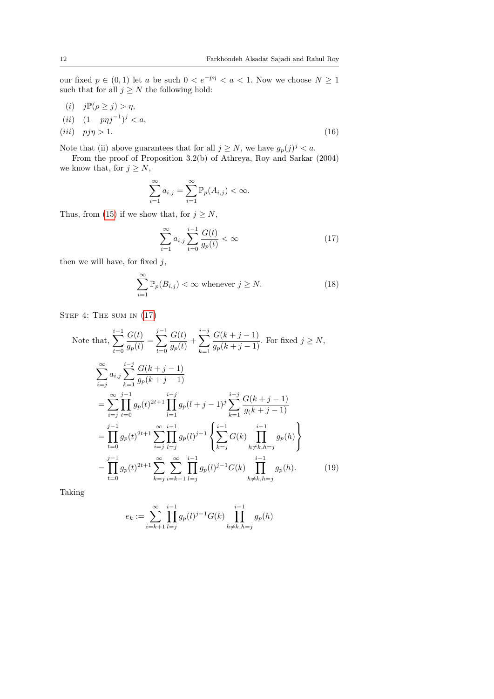our fixed  $p \in (0,1)$  let a be such  $0 < e^{-p\eta} < a < 1$ . Now we choose  $N \ge 1$ such that for all  $j \geq N$  the following hold:

(i)  $j\mathbb{P}(\rho \geq j) > \eta$ ,  $(ii)$   $(1 - p\eta j^{-1})^j < a$ , (*iii*)  $pj\eta > 1.$  (16)

Note that (ii) above guarantees that for all  $j \geq N$ , we have  $g_p(j)^j < a$ .

From the proof of Proposition 3.2(b) of Athreya, Roy and Sarkar (2004) we know that, for  $j \geq N$ ,

<span id="page-11-2"></span>
$$
\sum_{i=1}^{\infty} a_{i,j} = \sum_{i=1}^{\infty} \mathbb{P}_p(A_{i,j}) < \infty.
$$

Thus, from [\(15\)](#page-10-1) if we show that, for  $j \geq N$ ,

<span id="page-11-3"></span><span id="page-11-0"></span>
$$
\sum_{i=1}^{\infty} a_{i,j} \sum_{t=0}^{i-1} \frac{G(t)}{g_p(t)} < \infty \tag{17}
$$

then we will have, for fixed  $j$ ,

$$
\sum_{i=1}^{\infty} \mathbb{P}_p(B_{i,j}) < \infty \text{ whenever } j \ge N. \tag{18}
$$

STEP 4: THE SUM IN  $(17)$ 

Note that, 
$$
\sum_{t=0}^{i-1} \frac{G(t)}{g_p(t)} = \sum_{t=0}^{j-1} \frac{G(t)}{g_p(t)} + \sum_{k=1}^{i-j} \frac{G(k+j-1)}{g_p(k+j-1)}
$$
. For fixed  $j \ge N$ ,  
\n
$$
\sum_{i=j}^{\infty} a_{i,j} \sum_{k=1}^{i-j} \frac{G(k+j-1)}{g_p(k+j-1)}
$$
\n
$$
= \sum_{i=j}^{\infty} \prod_{t=0}^{j-1} g_p(t)^{2t+1} \prod_{l=1}^{i-j} g_p(l+j-1)^j \sum_{k=1}^{i-j} \frac{G(k+j-1)}{g(k+j-1)}
$$
\n
$$
= \prod_{t=0}^{j-1} g_p(t)^{2t+1} \sum_{i=j}^{\infty} \prod_{l=j}^{i-1} g_p(l)^{j-1} \left\{ \sum_{k=j}^{i-1} G(k) \prod_{h \ne k, h=j}^{i-1} g_p(h) \right\}
$$
\n
$$
= \prod_{t=0}^{j-1} g_p(t)^{2t+1} \sum_{k=j}^{\infty} \sum_{i=k+1}^{\infty} \prod_{l=j}^{i-1} g_p(l)^{j-1} G(k) \prod_{h \ne k, h=j}^{i-1} g_p(h).
$$
\n(19)

Taking

<span id="page-11-1"></span>
$$
e_k := \sum_{i=k+1}^{\infty} \prod_{l=j}^{i-1} g_p(l)^{j-1} G(k) \prod_{h \neq k, h=j}^{i-1} g_p(h)
$$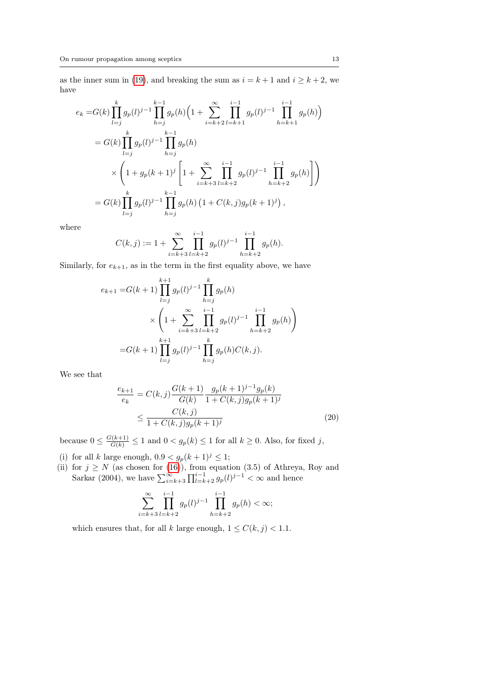as the inner sum in [\(19\)](#page-11-1), and breaking the sum as  $i = k + 1$  and  $i \geq k + 2$ , we have

$$
e_k = G(k) \prod_{l=j}^k g_p(l)^{j-1} \prod_{h=j}^{k-1} g_p(h) \left( 1 + \sum_{i=k+2}^{\infty} \prod_{l=k+1}^{i-1} g_p(l)^{j-1} \prod_{h=k+1}^{i-1} g_p(h) \right)
$$
  
=  $G(k) \prod_{l=j}^k g_p(l)^{j-1} \prod_{h=j}^{k-1} g_p(h)$   

$$
\times \left( 1 + g_p(k+1)^j \left[ 1 + \sum_{i=k+3}^{\infty} \prod_{l=k+2}^{i-1} g_p(l)^{j-1} \prod_{h=k+2}^{i-1} g_p(h) \right] \right)
$$
  
=  $G(k) \prod_{l=j}^k g_p(l)^{j-1} \prod_{h=j}^{k-1} g_p(h) \left( 1 + C(k,j) g_p(k+1)^j \right)$ ,

where

$$
C(k,j) := 1 + \sum_{i=k+3}^{\infty} \prod_{l=k+2}^{i-1} g_p(l)^{j-1} \prod_{h=k+2}^{i-1} g_p(h).
$$

Similarly, for  $e_{k+1}$ , as in the term in the first equality above, we have

$$
e_{k+1} = G(k+1) \prod_{l=j}^{k+1} g_p(l)^{j-1} \prod_{h=j}^k g_p(h)
$$
  
 
$$
\times \left(1 + \sum_{i=k+3}^{\infty} \prod_{l=k+2}^{i-1} g_p(l)^{j-1} \prod_{h=k+2}^{i-1} g_p(h)\right)
$$
  
= 
$$
G(k+1) \prod_{l=j}^{k+1} g_p(l)^{j-1} \prod_{h=j}^k g_p(h)C(k,j).
$$

We see that

$$
\frac{e_{k+1}}{e_k} = C(k,j) \frac{G(k+1)}{G(k)} \frac{g_p(k+1)^{j-1} g_p(k)}{1 + C(k,j) g_p(k+1)^j}
$$

$$
\leq \frac{C(k,j)}{1 + C(k,j) g_p(k+1)^j}
$$
(20)

because  $0 \leq \frac{G(k+1)}{G(k)} \leq 1$  and  $0 < g_p(k) \leq 1$  for all  $k \geq 0$ . Also, for fixed j,

(i) for all k large enough,  $0.9 < g_p(k+1)^j \leq 1$ ;

(ii) for  $j \geq N$  (as chosen for [\(16\)](#page-11-2)), from equation (3.5) of Athreya, Roy and Sarkar (2004), we have  $\sum_{i=k+3}^{\infty} \prod_{l=k+2}^{i-1} g_p(l)^{j-1} < \infty$  and hence

$$
\sum_{i=k+3}^{\infty} \prod_{l=k+2}^{i-1} g_p(l)^{j-1} \prod_{h=k+2}^{i-1} g_p(h) < \infty;
$$

which ensures that, for all k large enough,  $1 \leq C(k, j) < 1.1$ .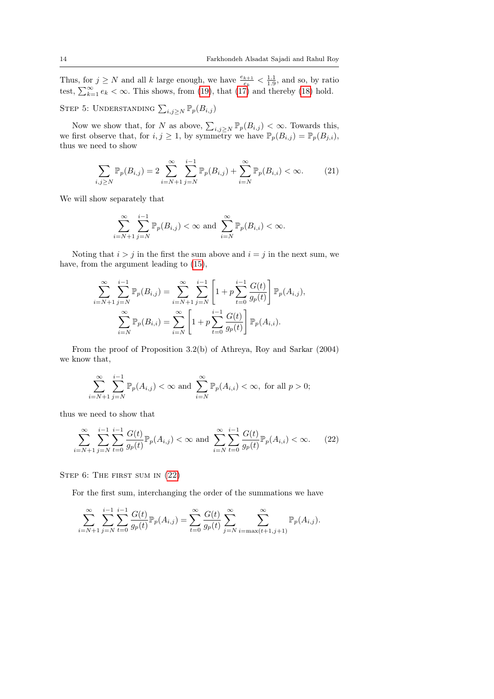Thus, for  $j \geq N$  and all k large enough, we have  $\frac{e_{k+1}}{e_k} < \frac{1.1}{1.9}$ , and so, by ratio test,  $\sum_{k=1}^{\infty} e_k < \infty$ . This shows, from [\(19\)](#page-11-1), that [\(17\)](#page-11-0) and thereby [\(18\)](#page-11-3) hold.

STEP 5: UNDERSTANDING  $\sum_{i,j\geq N} \mathbb{P}_p(B_{i,j})$ 

Now we show that, for N as above,  $\sum_{i,j\geq N} \mathbb{P}_p(B_{i,j}) < \infty$ . Towards this, we first observe that, for  $i, j \geq 1$ , by symmetry we have  $\mathbb{P}_p(B_{i,j}) = \mathbb{P}_p(B_{j,i}),$ thus we need to show

$$
\sum_{i,j\geq N} \mathbb{P}_p(B_{i,j}) = 2 \sum_{i=N+1}^{\infty} \sum_{j=N}^{i-1} \mathbb{P}_p(B_{i,j}) + \sum_{i=N}^{\infty} \mathbb{P}_p(B_{i,i}) < \infty. \tag{21}
$$

We will show separately that

$$
\sum_{i=N+1}^{\infty}\sum_{j=N}^{i-1}\mathbb{P}_p(B_{i,j})<\infty \text{ and } \sum_{i=N}^{\infty}\mathbb{P}_p(B_{i,i})<\infty.
$$

Noting that  $i > j$  in the first the sum above and  $i = j$  in the next sum, we have, from the argument leading to [\(15\)](#page-10-1),

$$
\sum_{i=N+1}^{\infty} \sum_{j=N}^{i-1} \mathbb{P}_p(B_{i,j}) = \sum_{i=N+1}^{\infty} \sum_{j=N}^{i-1} \left[ 1 + p \sum_{t=0}^{i-1} \frac{G(t)}{g_p(t)} \right] \mathbb{P}_p(A_{i,j}),
$$

$$
\sum_{i=N}^{\infty} \mathbb{P}_p(B_{i,i}) = \sum_{i=N}^{\infty} \left[ 1 + p \sum_{t=0}^{i-1} \frac{G(t)}{g_p(t)} \right] \mathbb{P}_p(A_{i,i}).
$$

From the proof of Proposition 3.2(b) of Athreya, Roy and Sarkar (2004) we know that,

<span id="page-13-0"></span>
$$
\sum_{i=N+1}^{\infty} \sum_{j=N}^{i-1} \mathbb{P}_p(A_{i,j}) < \infty \text{ and } \sum_{i=N}^{\infty} \mathbb{P}_p(A_{i,i}) < \infty, \text{ for all } p > 0;
$$

thus we need to show that

$$
\sum_{i=N+1}^{\infty} \sum_{j=N}^{i-1} \sum_{t=0}^{i-1} \frac{G(t)}{g_p(t)} \mathbb{P}_p(A_{i,j}) < \infty \text{ and } \sum_{i=N}^{\infty} \sum_{t=0}^{i-1} \frac{G(t)}{g_p(t)} \mathbb{P}_p(A_{i,i}) < \infty. \tag{22}
$$

STEP 6: THE FIRST SUM IN  $(22)$ 

For the first sum, interchanging the order of the summations we have

$$
\sum_{i=N+1}^{\infty} \sum_{j=N}^{i-1} \sum_{t=0}^{i-1} \frac{G(t)}{g_p(t)} \mathbb{P}_p(A_{i,j}) = \sum_{t=0}^{\infty} \frac{G(t)}{g_p(t)} \sum_{j=N}^{\infty} \sum_{i=\max(t+1,j+1)}^{\infty} \mathbb{P}_p(A_{i,j}).
$$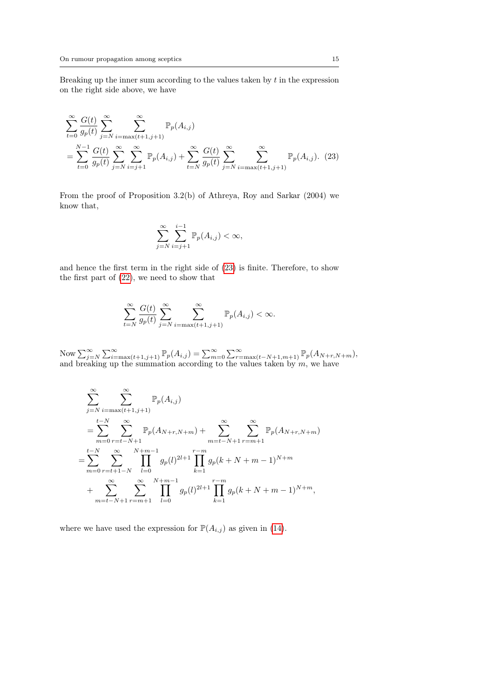Breaking up the inner sum according to the values taken by  $t$  in the expression on the right side above, we have

$$
\sum_{t=0}^{\infty} \frac{G(t)}{g_p(t)} \sum_{j=N}^{\infty} \sum_{i=\max(t+1,j+1)}^{\infty} \mathbb{P}_p(A_{i,j})
$$
  
= 
$$
\sum_{t=0}^{N-1} \frac{G(t)}{g_p(t)} \sum_{j=N}^{\infty} \sum_{i=j+1}^{\infty} \mathbb{P}_p(A_{i,j}) + \sum_{t=N}^{\infty} \frac{G(t)}{g_p(t)} \sum_{j=N}^{\infty} \sum_{i=\max(t+1,j+1)}^{\infty} \mathbb{P}_p(A_{i,j}).
$$
 (23)

From the proof of Proposition 3.2(b) of Athreya, Roy and Sarkar (2004) we know that,

<span id="page-14-0"></span>
$$
\sum_{j=N}^{\infty} \sum_{i=j+1}^{i-1} \mathbb{P}_p(A_{i,j}) < \infty,
$$

and hence the first term in the right side of [\(23\)](#page-14-0) is finite. Therefore, to show the first part of [\(22\)](#page-13-0), we need to show that

$$
\sum_{t=N}^{\infty} \frac{G(t)}{g_p(t)} \sum_{j=N}^{\infty} \sum_{i=\max(t+1,j+1)}^{\infty} \mathbb{P}_p(A_{i,j}) < \infty.
$$

Now  $\sum_{j=N}^{\infty} \sum_{i=\max(t+1,j+1)}^{\infty} \mathbb{P}_p(A_{i,j}) = \sum_{m=0}^{\infty} \sum_{r=\max(t-N+1,m+1)}^{\infty} \mathbb{P}_p(A_{N+r,N+m}),$ and breaking up the summation according to the values taken by  $m$ , we have

$$
\sum_{j=N}^{\infty} \sum_{i=\max(t+1,j+1)}^{\infty} \mathbb{P}_p(A_{i,j})
$$
\n
$$
= \sum_{m=0}^{t-N} \sum_{r=t-N+1}^{\infty} \mathbb{P}_p(A_{N+r,N+m}) + \sum_{m=t-N+1}^{\infty} \sum_{r=m+1}^{\infty} \mathbb{P}_p(A_{N+r,N+m})
$$
\n
$$
= \sum_{m=0}^{t-N} \sum_{r=t+1-N}^{\infty} \prod_{l=0}^{N+m-1} g_p(l)^{2l+1} \prod_{k=1}^{r-m} g_p(k+N+m-1)^{N+m}
$$
\n
$$
+ \sum_{m=t-N+1}^{\infty} \sum_{r=m+1}^{\infty} \prod_{l=0}^{N+m-1} g_p(l)^{2l+1} \prod_{k=1}^{r-m} g_p(k+N+m-1)^{N+m},
$$

where we have used the expression for  $\mathbb{P}(A_{i,j})$  as given in [\(14\)](#page-9-0).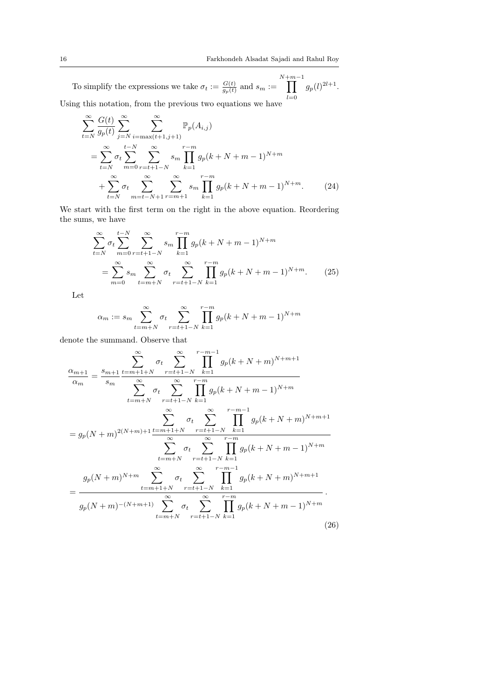To simplify the expressions we take  $\sigma_t := \frac{G(t)}{g_n(t)}$  $\frac{G(t)}{g_p(t)}$  and  $s_m :=$  $\prod^{N+m-1}$  $_{l=0}$  $g_p(l)^{2l+1}.$ Using this notation, from the previous two equations we have

$$
\sum_{t=N}^{\infty} \frac{G(t)}{g_p(t)} \sum_{j=N}^{\infty} \sum_{i=\max(t+1,j+1)}^{\infty} \mathbb{P}_p(A_{i,j})
$$
  
= 
$$
\sum_{t=N}^{\infty} \sigma_t \sum_{m=0}^{t-N} \sum_{r=t+1-N}^{\infty} s_m \prod_{k=1}^{r-m} g_p(k+N+m-1)^{N+m}
$$
  
+ 
$$
\sum_{t=N}^{\infty} \sigma_t \sum_{m=t-N+1}^{\infty} \sum_{r=m+1}^{\infty} s_m \prod_{k=1}^{r-m} g_p(k+N+m-1)^{N+m}.
$$
 (24)

We start with the first term on the right in the above equation. Reordering the sums, we have

<span id="page-15-2"></span>
$$
\sum_{t=N}^{\infty} \sigma_t \sum_{m=0}^{t-N} \sum_{r=t+1-N}^{\infty} s_m \prod_{k=1}^{r-m} g_p(k+N+m-1)^{N+m}
$$
  
= 
$$
\sum_{m=0}^{\infty} s_m \sum_{t=m+N}^{\infty} \sigma_t \sum_{r=t+1-N}^{r-m} \prod_{k=1}^{r-m} g_p(k+N+m-1)^{N+m}.
$$
 (25)

Let

<span id="page-15-1"></span>
$$
\alpha_m := s_m \sum_{t=m+N}^{\infty} \sigma_t \sum_{r=t+1-N}^{\infty} \prod_{k=1}^{r-m} g_p(k+N+m-1)^{N+m}
$$

denote the summand. Observe that

<span id="page-15-0"></span>
$$
\frac{\alpha_{m+1}}{\alpha_m} = \frac{\sum_{m+1}^{\infty} \sum_{t=m+1+N}^{\infty} \sum_{r=t+1-N}^{r=m-1} \prod_{k=1}^{m} g_p(k+N+m)^{N+m+1}}{\sum_{t=m+N}^{\infty} \sum_{r=t+1-N}^{r=L+1-N} \prod_{k=1}^{r=m} g_p(k+N+m-1)^{N+m}}
$$
\n
$$
= g_p(N+m)^{2(N+m)+1} \frac{\sum_{t=m+1+N}^{\infty} \sum_{r=t+1-N}^{r=L+1} \prod_{k=1}^{m-1} g_p(k+N+m)^{N+m+1}}{\sum_{t=m+N}^{\infty} \sum_{r=t+1-N}^{r=L+1-N} \prod_{k=1}^{r=m} g_p(k+N+m-1)^{N+m}}
$$
\n
$$
= \frac{g_p(N+m)^{N+m}}{\sum_{t=m+1+N}^{\infty} \sum_{r=t+1-N}^{r=L+1-N} \prod_{k=1}^{r=m-1} g_p(k+N+m)^{N+m+1}}
$$
\n
$$
= \frac{\sum_{t=m+1+N}^{\infty} \sum_{r=t+1-N}^{r=L+1-N} \prod_{k=1}^{r=L} g_p(k+N+m-1)^{N+m}}{\sum_{t=m+N}^{\infty} \sum_{r=t+1-N}^{r=L+1-N} \prod_{k=1}^{r=L} g_p(k+N+m-1)^{N+m}}
$$
\n(26)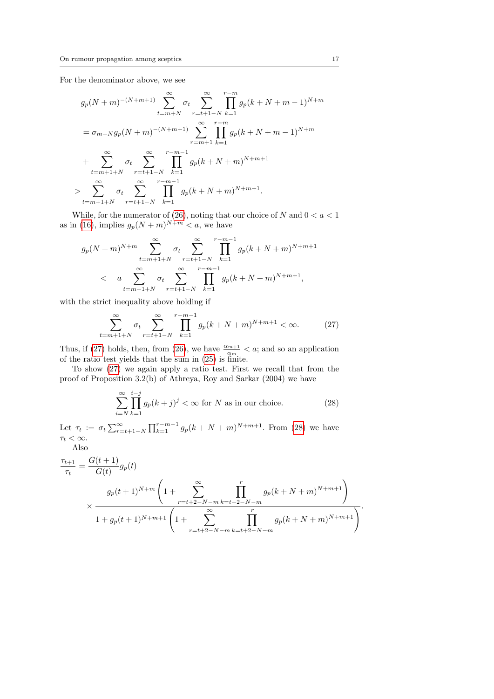For the denominator above, we see

$$
g_p(N+m)^{-(N+m+1)}\sum_{t=m+N}^{\infty} \sigma_t \sum_{r=t+1-N}^{\infty} \prod_{k=1}^{r-m} g_p(k+N+m-1)^{N+m}
$$
  
=  $\sigma_{m+N}g_p(N+m)^{-(N+m+1)}\sum_{r=m+1}^{\infty} \prod_{k=1}^{r-m} g_p(k+N+m-1)^{N+m}$   
+  $\sum_{t=m+1+N}^{\infty} \sigma_t \sum_{r=t+1-N}^{r-m-1} \prod_{k=1}^{r-m-1} g_p(k+N+m)^{N+m+1}$   
>  $\sum_{t=m+1+N}^{\infty} \sigma_t \sum_{r=t+1-N}^{\infty} \prod_{k=1}^{r-m-1} g_p(k+N+m)^{N+m+1}.$ 

While, for the numerator of [\(26\)](#page-15-0), noting that our choice of  $N$  and  $0 < a < 1$ as in [\(16\)](#page-11-2), implies  $g_p(N+m)^{N+m} < a$ , we have

$$
g_p(N+m)^{N+m} \sum_{t=m+1+N}^{\infty} \sigma_t \sum_{r=t+1-N}^{\infty} \prod_{k=1}^{r-m-1} g_p(k+N+m)^{N+m+1}
$$
  

$$
< a \sum_{t=m+1+N}^{\infty} \sigma_t \sum_{r=t+1-N}^{r-m-1} \prod_{k=1}^{r-m-1} g_p(k+N+m)^{N+m+1},
$$

with the strict inequality above holding if

$$
\sum_{t=m+1+N}^{\infty} \sigma_t \sum_{r=t+1-N}^{\infty} \prod_{k=1}^{r-m-1} g_p(k+N+m)^{N+m+1} < \infty. \tag{27}
$$

Thus, if [\(27\)](#page-16-0) holds, then, from [\(26\)](#page-15-0), we have  $\frac{\alpha_{m+1}}{\alpha_m} < a$ ; and so an application of the ratio test yields that the sum in [\(25\)](#page-15-1) is finite.

To show [\(27\)](#page-16-0) we again apply a ratio test. First we recall that from the proof of Proposition 3.2(b) of Athreya, Roy and Sarkar (2004) we have

<span id="page-16-1"></span><span id="page-16-0"></span>
$$
\sum_{i=N}^{\infty} \prod_{k=1}^{i-j} g_p(k+j)^j < \infty \text{ for } N \text{ as in our choice.} \tag{28}
$$

Let  $\tau_t := \sigma_t \sum_{r=t+1-N}^{\infty} \prod_{k=1}^{r-m-1} g_p(k+N+m)^{N+m+1}$ . From [\(28\)](#page-16-1) we have  $\tau_t < \infty$ . Also

$$
\frac{\tau_{t+1}}{\tau_t} = \frac{G(t+1)}{G(t)} g_p(t)
$$
\n
$$
\times \frac{g_p(t+1)^{N+m} \left(1 + \sum_{r=t+2-N-m}^{\infty} \prod_{k=t+2-N-m}^{r} g_p(k+N+m)^{N+m+1}\right)}{1 + g_p(t+1)^{N+m+1} \left(1 + \sum_{r=t+2-N-m}^{\infty} \prod_{k=t+2-N-m}^{r} g_p(k+N+m)^{N+m+1}\right)}.
$$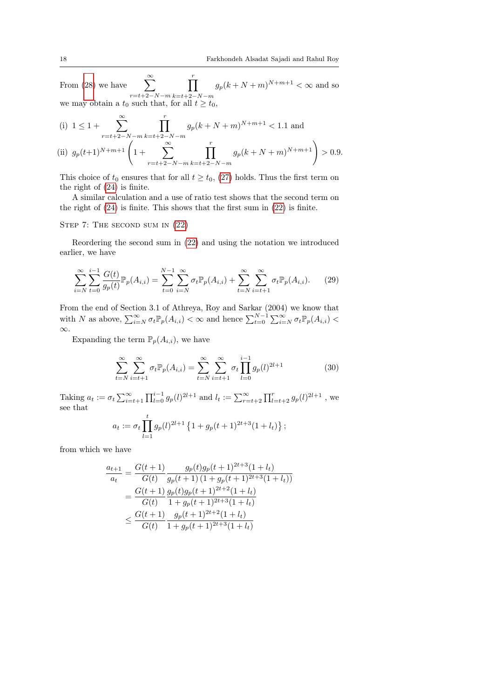From  $(28)$  we have  $r=t+2-N-m$  $\prod^r$  $k=t+2-N-m$  $g_p(k+N+m)^{N+m+1} < \infty$  and so we may obtain a  $t_0$  such that, for all  $t \geq t_0$ ,

(i) 
$$
1 \le 1 + \sum_{r=t+2-N-m}^{\infty} \prod_{k=t+2-N-m}^{r} g_p(k+N+m)^{N+m+1} < 1.1
$$
 and  
\n(ii)  $g_p(t+1)^{N+m+1} \left(1 + \sum_{r=t+2-N-m}^{\infty} \prod_{k=t+2-N-m}^{r} g_p(k+N+m)^{N+m+1}\right) > 0.9.$ 

This choice of  $t_0$  ensures that for all  $t \geq t_0$ , [\(27\)](#page-16-0) holds. Thus the first term on the right of [\(24\)](#page-15-2) is finite.

A similar calculation and a use of ratio test shows that the second term on the right of [\(24\)](#page-15-2) is finite. This shows that the first sum in [\(22\)](#page-13-0) is finite.

STEP 7: THE SECOND SUM IN  $(22)$ 

Reordering the second sum in [\(22\)](#page-13-0) and using the notation we introduced earlier, we have

$$
\sum_{i=N}^{\infty} \sum_{t=0}^{i-1} \frac{G(t)}{g_p(t)} \mathbb{P}_p(A_{i,i}) = \sum_{t=0}^{N-1} \sum_{i=N}^{\infty} \sigma_t \mathbb{P}_p(A_{i,i}) + \sum_{t=N}^{\infty} \sum_{i=t+1}^{\infty} \sigma_t \mathbb{P}_p(A_{i,i}).
$$
 (29)

From the end of Section 3.1 of Athreya, Roy and Sarkar (2004) we know that with N as above,  $\sum_{i=N}^{\infty} \sigma_t \mathbb{P}_p(A_{i,i}) < \infty$  and hence  $\sum_{t=0}^{N-1} \sum_{i=N}^{\infty} \sigma_t \mathbb{P}_p(A_{i,i}) <$ ∞.

Expanding the term  $\mathbb{P}_p(A_{i,i})$ , we have

<span id="page-17-0"></span>
$$
\sum_{t=N}^{\infty} \sum_{i=t+1}^{\infty} \sigma_t \mathbb{P}_p(A_{i,i}) = \sum_{t=N}^{\infty} \sum_{i=t+1}^{\infty} \sigma_t \prod_{l=0}^{i-1} g_p(l)^{2l+1}
$$
(30)

Taking  $a_t := \sigma_t \sum_{i=t+1}^{\infty} \prod_{l=0}^{i-1} g_p(l)^{2l+1}$  and  $l_t := \sum_{r=t+2}^{\infty} \prod_{l=t+2}^{r} g_p(l)^{2l+1}$ , we see that

$$
a_t := \sigma_t \prod_{l=1}^t g_p(l)^{2l+1} \left\{ 1 + g_p(t+1)^{2t+3} (1+l_t) \right\};
$$

from which we have

$$
\frac{a_{t+1}}{a_t} = \frac{G(t+1)}{G(t)} \frac{g_p(t)g_p(t+1)^{2t+3}(1+l_t)}{g_p(t+1)(1+g_p(t+1)^{2t+3}(1+l_t))}
$$

$$
= \frac{G(t+1)}{G(t)} \frac{g_p(t)g_p(t+1)^{2t+2}(1+l_t)}{1+g_p(t+1)^{2t+3}(1+l_t)}
$$

$$
\leq \frac{G(t+1)}{G(t)} \frac{g_p(t+1)^{2t+2}(1+l_t)}{1+g_p(t+1)^{2t+3}(1+l_t)}
$$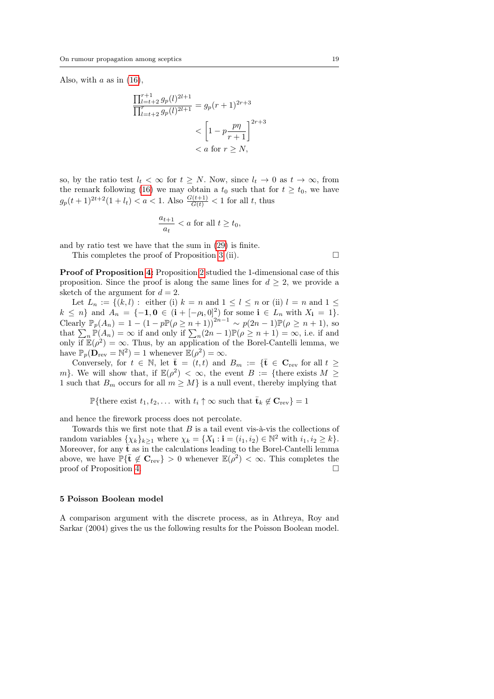Also, with  $a$  as in  $(16)$ ,

$$
\frac{\prod_{l=t+2}^{r+1} g_p(l)^{2l+1}}{\prod_{l=t+2}^r g_p(l)^{2l+1}} = g_p(r+1)^{2r+3}
$$
  

$$
< \left[1 - p \frac{p\eta}{r+1}\right]^{2r+3}
$$
  

$$
< a \text{ for } r \ge N,
$$

so, by the ratio test  $l_t < \infty$  for  $t \geq N$ . Now, since  $l_t \to 0$  as  $t \to \infty$ , from the remark following [\(16\)](#page-11-2) we may obtain a  $t_0$  such that for  $t \geq t_0$ , we have  $g_p(t+1)^{2t+2}(1+l_t) < a < 1.$  Also  $\frac{G(t+1)}{G(t)} < 1$  for all t, thus

$$
\frac{a_{t+1}}{a_t} < a \text{ for all } t \ge t_0,
$$

and by ratio test we have that the sum in [\(29\)](#page-17-0) is finite.

This completes the proof of Proposition [3](#page-5-0) (ii).  $\Box$ 

Proof of Proposition [4:](#page-5-1) Proposition [2](#page-4-1) studied the 1-dimensional case of this proposition. Since the proof is along the same lines for  $d \geq 2$ , we provide a sketch of the argument for  $d = 2$ .

Let  $L_n := \{(k, l) : \text{ either (i)}\; k = n \text{ and } 1 \leq l \leq n \text{ or (ii)}\; l = n \text{ and } 1 \leq l \leq n \text{ or (iii)}\; l = n \text{ and } 1 \leq l \leq n \text{ or (iv)}\; l = n \text{ and } 1 \leq l \leq n \text{ or (iv)}\; l = n \text{ and } 1 \leq l \leq n \text{ or (iv)}\; l = n \text{ and } 1 \leq l \leq n \text{ or (iv)}\; l = n \text{ and } 1 \leq l \leq n \text{ or (v)}\; l = n \text{ and }$  $k \leq n$  and  $A_n = \{-1, 0 \in (i + [-\rho_i, 0]^2) \text{ for some } i \in L_n \text{ with } X_i = 1\}.$ Clearly  $\mathbb{P}_p(A_n) = 1 - (1 - p \mathbb{P}(\rho \ge n + 1))^{2n-1} \sim p(2n-1) \mathbb{P}(\rho \ge n + 1)$ , so that  $\sum_{n} \mathbb{P}(A_n) = \infty$  if and only if  $\sum_{n} (2n-1)\mathbb{P}(\rho \ge n+1) = \infty$ , i.e. if and only if  $\mathbb{E}(\rho^2) = \infty$ . Thus, by an application of the Borel-Cantelli lemma, we have  $\mathbb{P}_p(\mathbf{D}_{rev} = \mathbb{N}^2) = 1$  whenever  $\mathbb{E}(\rho^2) = \infty$ .

Conversely, for  $t \in \mathbb{N}$ , let  $\bar{\mathbf{t}} = (t, t)$  and  $B_m := {\bar{\mathbf{t}}} \in \mathbf{C}_{rev}$  for all  $t \geq$ m}. We will show that, if  $\mathbb{E}(\rho^2) < \infty$ , the event  $B := \{\text{there exists } M \geq \rho\}$ 1 such that  $B_m$  occurs for all  $m \geq M$  is a null event, thereby implying that

P{there exist  $t_1, t_2, \ldots$  with  $t_i \uparrow \infty$  such that  $\bar{\mathbf{t}}_k \notin \mathbf{C}_{\text{rev}}$ } = 1

and hence the firework process does not percolate.

Towards this we first note that  $B$  is a tail event vis-à-vis the collections of random variables  $\{\chi_k\}_{k\geq 1}$  where  $\chi_k = \{X_i : i = (i_1, i_2) \in \mathbb{N}^2 \text{ with } i_1, i_2 \geq k\}.$ Moreover, for any  $\bar{t}$  as in the calculations leading to the Borel-Cantelli lemma above, we have  $\mathbb{P}\{\bar{\mathbf{t}} \notin \mathbf{C}_{rev}\} > 0$  whenever  $\mathbb{E}(\rho^2) < \infty$ . This completes the proof of Proposition [4.](#page-5-1)

#### 5 Poisson Boolean model

A comparison argument with the discrete process, as in Athreya, Roy and Sarkar (2004) gives the us the following results for the Poisson Boolean model.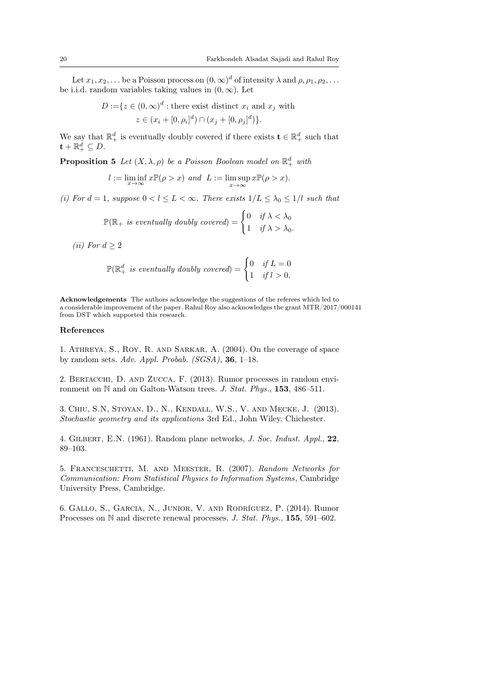Let  $x_1, x_2, \ldots$  be a Poisson process on  $(0, \infty)^d$  of intensity  $\lambda$  and  $\rho, \rho_1, \rho_2, \ldots$ be i.i.d. random variables taking values in  $(0, \infty)$ . Let

$$
D := \{ z \in (0, \infty)^d : \text{there exist distinct } x_i \text{ and } x_j \text{ with } z \in (x_i + [0, \rho_i]^d) \cap (x_j + [0, \rho_j]^d) \}.
$$

We say that  $\mathbb{R}^d_+$  is eventually doubly covered if there exists  $\mathbf{t} \in \mathbb{R}^d_+$  such that  $\mathbf{t}+\mathbb{R}^d_+\subseteq D.$ 

**Proposition 5** Let  $(X, \lambda, \rho)$  be a Poisson Boolean model on  $\mathbb{R}^d_+$  with

$$
l := \liminf_{x \to \infty} x \mathbb{P}(\rho > x) \text{ and } L := \limsup_{x \to \infty} x \mathbb{P}(\rho > x).
$$

(i) For  $d = 1$ , suppose  $0 < l \leq L < \infty$ . There exists  $1/L \leq \lambda_0 \leq 1/l$  such that

$$
\mathbb{P}(\mathbb{R}_+ \text{ is eventually doubly covered}) = \begin{cases} 0 & \text{if } \lambda < \lambda_0 \\ 1 & \text{if } \lambda > \lambda_0. \end{cases}
$$

(*ii*) For  $d \geq 2$ 

$$
\mathbb{P}(\mathbb{R}^d_+ \text{ is eventually doubly covered}) = \begin{cases} 0 & \text{if } L = 0 \\ 1 & \text{if } l > 0. \end{cases}
$$

Acknowledgements The authors acknowledge the suggestions of the referees which led to a considerable improvement of the paper. Rahul Roy also acknowledges the grant MTR/2017/000141 from DST which supported this research.

## References

1. Athreya, S., Roy, R. and Sarkar, A. (2004). On the coverage of space by random sets. Adv. Appl. Probab.  $(SGSA)$ , 36, 1–18.

2. Bertacchi, D. and Zucca, F. (2013). Rumor processes in random environment on N and on Galton-Watson trees. J. Stat. Phys., 153, 486–511.

3. Chiu, S.N, Stoyan, D., N., Kendall, W.S., V. and Mecke, J. (2013). Stochastic geometry and its applications 3rd Ed., John Wiley, Chichester.

4. Gilbert, E.N. (1961). Random plane networks, J. Soc. Indust. Appl., 22, 89–103.

5. Franceschetti, M. and Meester, R. (2007). Random Networks for Communication: From Statistical Physics to Information Systems , Cambridge University Press, Cambridge.

6. Gallo, S., Garcia, N., Junior, V. and Rodríguez, P. (2014). Rumor Processes on N and discrete renewal processes. J. Stat. Phys., 155, 591–602.